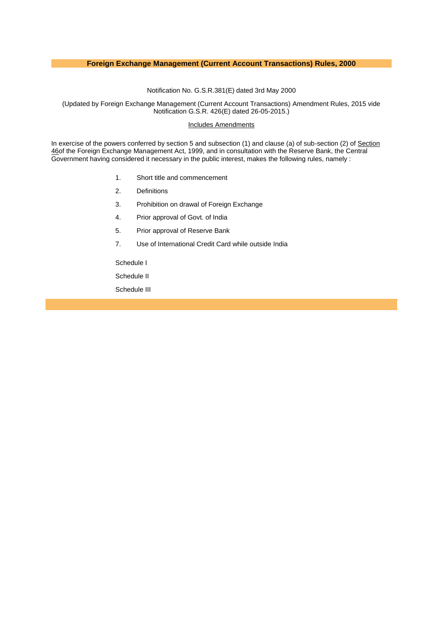# **Foreign Exchange Management (Current Account Transactions) Rules, 2000**

Notification No. G.S.R.381(E) dated 3rd May 2000

(Updated by Foreign Exchange Management (Current Account Transactions) Amendment Rules, 2015 vide Notification G.S.R. 426(E) dated 26-05-2015.)

## [Includes Amendments](http://172.31.13.51/kmt/GetDocument.asp?PageRef=ecm/gsr38103-05-2000_42626-05-2015.htm#inc)

In exercise of the powers conferred by section 5 and subsection (1) and clause (a) of sub-section (2) of Section [46o](http://172.31.13.51/kmt/GetDocument.asp?PageRef=ecm/fema_c07.htm#s46)f the Foreign Exchange Management Act, 1999, and in consultation with the Reserve Bank, the Central Government having considered it necessary in the public interest, makes the following rules, namely :

- 1. [Short title and commencement](http://172.31.13.51/kmt/GetDocument.asp?PageRef=ecm/gsr38103-05-2000_42626-05-2015.htm#r1)
- 2. [Definitions](http://172.31.13.51/kmt/GetDocument.asp?PageRef=ecm/gsr38103-05-2000_42626-05-2015.htm#r2)
- 3. [Prohibition on drawal of Foreign Exchange](http://172.31.13.51/kmt/GetDocument.asp?PageRef=ecm/gsr38103-05-2000_42626-05-2015.htm#r3)
- 4. [Prior approval of Govt. of India](http://172.31.13.51/kmt/GetDocument.asp?PageRef=ecm/gsr38103-05-2000_42626-05-2015.htm#r4)
- 5. [Prior approval of Reserve Bank](http://172.31.13.51/kmt/GetDocument.asp?PageRef=ecm/gsr38103-05-2000_42626-05-2015.htm#r5)
- 7. [Use of International Credit Card while outside India](http://172.31.13.51/kmt/GetDocument.asp?PageRef=ecm/gsr38103-05-2000_42626-05-2015.htm#r7)

[Schedule I](http://172.31.13.51/kmt/GetDocument.asp?PageRef=ecm/gsr38103-05-2000_42626-05-2015.htm#sch1)

[Schedule II](http://172.31.13.51/kmt/GetDocument.asp?PageRef=ecm/gsr38103-05-2000_42626-05-2015.htm#sch2)

[Schedule III](http://172.31.13.51/kmt/GetDocument.asp?PageRef=ecm/gsr38103-05-2000_42626-05-2015.htm#sch3)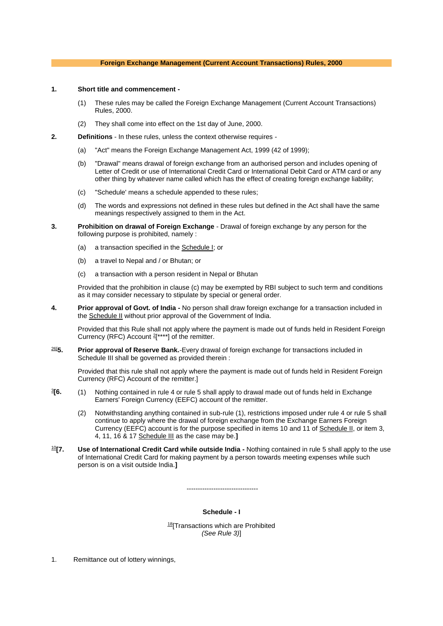# **Foreign Exchange Management (Current Account Transactions) Rules, 2000**

#### **1. Short title and commencement -**

- (1) These rules may be called the Foreign Exchange Management (Current Account Transactions) Rules, 2000.
- (2) They shall come into effect on the 1st day of June, 2000.
- **2. Definitions** In these rules, unless the context otherwise requires
	- (a) "Act" means the Foreign Exchange Management Act, 1999 (42 of 1999);
	- (b) "Drawal" means drawal of foreign exchange from an authorised person and includes opening of Letter of Credit or use of International Credit Card or International Debit Card or ATM card or any other thing by whatever name called which has the effect of creating foreign exchange liability;
	- (c) "Schedule' means a schedule appended to these rules;
	- (d) The words and expressions not defined in these rules but defined in the Act shall have the same meanings respectively assigned to them in the Act.
- **3. Prohibition on drawal of Foreign Exchange** Drawal of foreign exchange by any person for the following purpose is prohibited, namely :
	- (a) a transaction specified in the [Schedule I;](http://172.31.13.51/kmt/GetDocument.asp?PageRef=ecm/gsr38103-05-2000_42626-05-2015.htm#sch1) or
	- (b) a travel to Nepal and / or Bhutan; or
	- (c) a transaction with a person resident in Nepal or Bhutan

Provided that the prohibition in clause (c) may be exempted by RBI subject to such term and conditions as it may consider necessary to stipulate by special or general order.

**4. Prior approval of Govt. of India -** No person shall draw foreign exchange for a transaction included in the **[Schedule II](http://172.31.13.51/kmt/GetDocument.asp?PageRef=ecm/gsr38103-05-2000_42626-05-2015.htm#sch2)** without prior approval of the Government of India.

Provided that this Rule shall not apply where the payment is made out of funds held in Resident Foreign Currency (RFC) Account  $2$ [\*\*\*\*] of the remitter.

[26\[](http://172.31.13.51/kmt/GetDocument.asp?PageRef=ecm/gsr38103-05-2000_42626-05-2015.htm#26)**5. Prior approval of Reserve Bank.**-Every drawal of foreign exchange for transactions included in Schedule III shall be governed as provided therein :

Provided that this rule shall not apply where the payment is made out of funds held in Resident Foreign Currency (RFC) Account of the remitter.]

- $3$ <sup>6</sup>. **[6.** (1) Nothing contained in rule 4 or rule 5 shall apply to drawal made out of funds held in Exchange Earners' Foreign Currency (EEFC) account of the remitter.
	- (2) Notwithstanding anything contained in sub-rule (1), restrictions imposed under rule 4 or rule 5 shall continue to apply where the drawal of foreign exchange from the Exchange Earners Foreign Currency (EEFC) account is for the purpose specified in items 10 and 11 of [Schedule II,](http://172.31.13.51/kmt/GetDocument.asp?PageRef=ecm/gsr38103-05-2000_42626-05-2015.htm#sch2) or item 3, 4, 11, 16 & 17 [Schedule III](http://172.31.13.51/kmt/GetDocument.asp?PageRef=ecm/gsr38103-05-2000_42626-05-2015.htm#sch3) as the case may be.**]**
- [10](http://172.31.13.51/kmt/GetDocument.asp?PageRef=ecm/gsr38103-05-2000_42626-05-2015.htm#10)**[7. Use of International Credit Card while outside India -** Nothing contained in rule 5 shall apply to the use of International Credit Card for making payment by a person towards meeting expenses while such person is on a visit outside India.**]**

--------------------------------

# **Schedule - I**

<sup>[18](http://172.31.13.51/kmt/GetDocument.asp?PageRef=ecm/gsr38103-05-2000_42626-05-2015.htm#18)</sup>[Transactions which are Prohibited *(See Rule 3)*]

1. Remittance out of lottery winnings,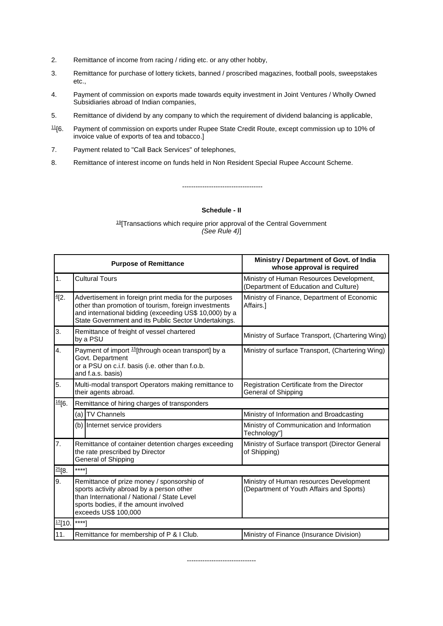- 2. Remittance of income from racing / riding etc. or any other hobby,
- 3. Remittance for purchase of lottery tickets, banned / proscribed magazines, football pools, sweepstakes etc.,
- 4. Payment of commission on exports made towards equity investment in Joint Ventures / Wholly Owned Subsidiaries abroad of Indian companies,
- 5. Remittance of dividend by any company to which the requirement of dividend balancing is applicable,
- [11](http://172.31.13.51/kmt/GetDocument.asp?PageRef=ecm/gsr38103-05-2000_42626-05-2015.htm#11)[6. Payment of commission on exports under Rupee State Credit Route, except commission up to 10% of invoice value of exports of tea and tobacco.]
- 7. Payment related to "Call Back Services" of telephones,
- 8. Remittance of interest income on funds held in Non Resident Special Rupee Account Scheme.

**Schedule - II**

------------------------------------

[19](http://172.31.13.51/kmt/GetDocument.asp?PageRef=ecm/gsr38103-05-2000_42626-05-2015.htm#19)[Transactions which require prior approval of the Central Government *(See Rule 4)*]

| <b>Purpose of Remittance</b> |                                                                                                                                                                                                                                 | Ministry / Department of Govt. of India<br>whose approval is required               |  |
|------------------------------|---------------------------------------------------------------------------------------------------------------------------------------------------------------------------------------------------------------------------------|-------------------------------------------------------------------------------------|--|
| 1.                           | <b>Cultural Tours</b>                                                                                                                                                                                                           | Ministry of Human Resources Development,<br>(Department of Education and Culture)   |  |
| 4[2.                         | Advertisement in foreign print media for the purposes<br>other than promotion of tourism, foreign investments<br>and international bidding (exceeding US\$ 10,000) by a<br>State Government and its Public Sector Undertakings. | Ministry of Finance, Department of Economic<br>Affairs.]                            |  |
| 3.                           | Remittance of freight of vessel chartered<br>by a PSU                                                                                                                                                                           | Ministry of Surface Transport, (Chartering Wing)                                    |  |
| 4.                           | Payment of import <sup>15</sup> [through ocean transport] by a<br>Govt. Department<br>or a PSU on c.i.f. basis (i.e. other than f.o.b.<br>and f.a.s. basis)                                                                     | Ministry of surface Transport, (Chartering Wing)                                    |  |
| 5.                           | Multi-modal transport Operators making remittance to<br>their agents abroad.                                                                                                                                                    | Registration Certificate from the Director<br>General of Shipping                   |  |
| $\frac{16}{6}$ .             | Remittance of hiring charges of transponders                                                                                                                                                                                    |                                                                                     |  |
|                              | (a) TV Channels                                                                                                                                                                                                                 | Ministry of Information and Broadcasting                                            |  |
|                              | (b) Internet service providers                                                                                                                                                                                                  | Ministry of Communication and Information<br>Technology"]                           |  |
| 7.                           | Remittance of container detention charges exceeding<br>the rate prescribed by Director<br>General of Shipping                                                                                                                   | Ministry of Surface transport (Director General<br>of Shipping)                     |  |
| $\frac{25}{8}$ .             | $***1$                                                                                                                                                                                                                          |                                                                                     |  |
| 9.                           | Remittance of prize money / sponsorship of<br>sports activity abroad by a person other<br>than International / National / State Level<br>sports bodies, if the amount involved<br>exceeds US\$ 100,000                          | Ministry of Human resources Development<br>(Department of Youth Affairs and Sports) |  |
| $\frac{17}{10}$ .            | $***$ ]                                                                                                                                                                                                                         |                                                                                     |  |
| 11.                          | Remittance for membership of P & I Club.                                                                                                                                                                                        | Ministry of Finance (Insurance Division)                                            |  |

-------------------------------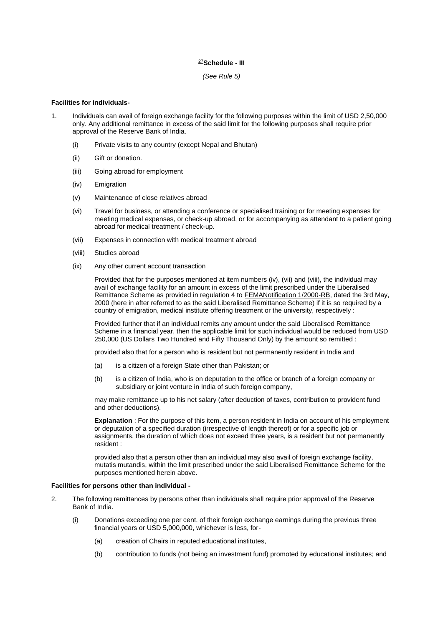### [27](http://172.31.13.51/kmt/GetDocument.asp?PageRef=ecm/gsr38103-05-2000_42626-05-2015.htm#27)**Schedule - III**

*(See Rule 5)*

# **Facilities for individuals-**

- 1. Individuals can avail of foreign exchange facility for the following purposes within the limit of USD 2,50,000 only. Any additional remittance in excess of the said limit for the following purposes shall require prior approval of the Reserve Bank of India.
	- (i) Private visits to any country (except Nepal and Bhutan)
	- (ii) Gift or donation.
	- (iii) Going abroad for employment
	- (iv) Emigration
	- (v) Maintenance of close relatives abroad
	- (vi) Travel for business, or attending a conference or specialised training or for meeting expenses for meeting medical expenses, or check-up abroad, or for accompanying as attendant to a patient going abroad for medical treatment / check-up.
	- (vii) Expenses in connection with medical treatment abroad
	- (viii) Studies abroad
	- (ix) Any other current account transaction

Provided that for the purposes mentioned at item numbers (iv), (vii) and (viii), the individual may avail of exchange facility for an amount in excess of the limit prescribed under the Liberalised Remittance Scheme as provided in regulation 4 to [FEMANotification 1/2000-RB,](http://172.31.13.51/kmt/GetDocument.asp?PageRef=ecm/fema103-05-2000.htm) dated the 3rd May, 2000 (here in after referred to as the said Liberalised Remittance Scheme) if it is so required by a country of emigration, medical institute offering treatment or the university, respectively :

Provided further that if an individual remits any amount under the said Liberalised Remittance Scheme in a financial year, then the applicable limit for such individual would be reduced from USD 250,000 (US Dollars Two Hundred and Fifty Thousand Only) by the amount so remitted :

provided also that for a person who is resident but not permanently resident in India and

- (a) is a citizen of a foreign State other than Pakistan; or
- (b) is a citizen of India, who is on deputation to the office or branch of a foreign company or subsidiary or joint venture in India of such foreign company,

may make remittance up to his net salary (after deduction of taxes, contribution to provident fund and other deductions).

**Explanation** : For the purpose of this item, a person resident in India on account of his employment or deputation of a specified duration (irrespective of length thereof) or for a specific job or assignments, the duration of which does not exceed three years, is a resident but not permanently resident :

provided also that a person other than an individual may also avail of foreign exchange facility, mutatis mutandis, within the limit prescribed under the said Liberalised Remittance Scheme for the purposes mentioned herein above.

#### **Facilities for persons other than individual -**

- 2. The following remittances by persons other than individuals shall require prior approval of the Reserve Bank of India.
	- (i) Donations exceeding one per cent. of their foreign exchange earnings during the previous three financial years or USD 5,000,000, whichever is less, for-
		- (a) creation of Chairs in reputed educational institutes,
		- (b) contribution to funds (not being an investment fund) promoted by educational institutes; and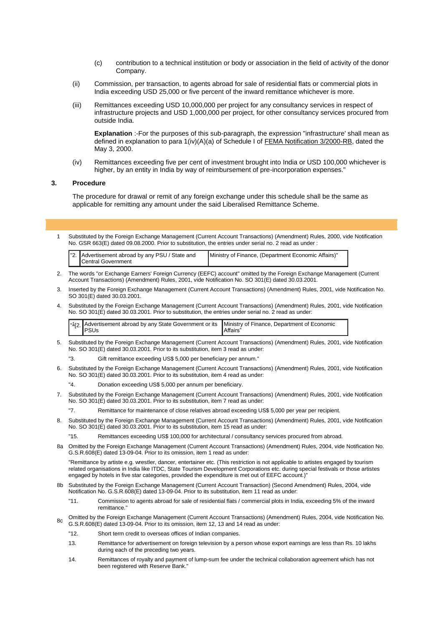- (c) contribution to a technical institution or body or association in the field of activity of the donor Company.
- (ii) Commission, per transaction, to agents abroad for sale of residential flats or commercial plots in India exceeding USD 25,000 or five percent of the inward remittance whichever is more.
- (iii) Remittances exceeding USD 10,000,000 per project for any consultancy services in respect of infrastructure projects and USD 1,000,000 per project, for other consultancy services procured from outside India.

**Explanation** :-For the purposes of this sub-paragraph, the expression "infrastructure' shall mean as defined in explanation to para 1(iv)(A)(a) of Schedule I of [FEMA Notification 3/2000-RB,](http://172.31.13.51/kmt/GetDocument.asp?PageRef=ecm/fema303-05-2000.htm) dated the May 3, 2000.

(iv) Remittances exceeding five per cent of investment brought into India or USD 100,000 whichever is higher, by an entity in India by way of reimbursement of pre-incorporation expenses."

### **3. Procedure**

The procedure for drawal or remit of any foreign exchange under this schedule shall be the same as applicable for remitting any amount under the said Liberalised Remittance Scheme.

1 Substituted by the Foreign Exchange Management (Current Account Transactions) (Amendment) Rules, 2000, vide Notification No. GSR 663(E) dated 09.08.2000. Prior to substitution, the entries under serial no. 2 read as under :

| "2. Advertisement abroad by any PSU / State and<br>Ministry of Finance, (Department Economic Affairs)"<br>Central Government |
|------------------------------------------------------------------------------------------------------------------------------|
|------------------------------------------------------------------------------------------------------------------------------|

- 2. The words "or Exchange Earners' Foreign Currency (EEFC) account" omitted by the Foreign Exchange Management (Current Account Transactions) (Amendment) Rules, 2001, vide Notification No. SO 301(E) dated 30.03.2001.
- 3. Inserted by the Foreign Exchange Management (Current Account Transactions) (Amendment) Rules, 2001, vide Notification No. SO 301(E) dated 30.03.2001.
- 4. Substituted by the Foreign Exchange Management (Current Account Transactions) (Amendment) Rules, 2001, vide Notification No. SO 301(E) dated 30.03.2001. Prior to substitution, the entries under serial no. 2 read as under:

|  | <sup>1</sup> [2. Advertisement abroad by any State Government or its   Ministry of Finance, Department of Economic<br><b>IPSUs</b> | <b>IAffairs</b> " |
|--|------------------------------------------------------------------------------------------------------------------------------------|-------------------|
|--|------------------------------------------------------------------------------------------------------------------------------------|-------------------|

- 5. Substituted by the Foreign Exchange Management (Current Account Transactions) (Amendment) Rules, 2001, vide Notification No. SO 301(E) dated 30.03.2001. Prior to its substitution, item 3 read as under:
	- Gift remittance exceeding US\$ 5,000 per beneficiary per annum."
- 6. Substituted by the Foreign Exchange Management (Current Account Transactions) (Amendment) Rules, 2001, vide Notification No. SO 301(E) dated 30.03.2001. Prior to its substitution, item 4 read as under:
	- "4. Donation exceeding US\$ 5,000 per annum per beneficiary.
- 7. Substituted by the Foreign Exchange Management (Current Account Transactions) (Amendment) Rules, 2001, vide Notification No. SO 301(E) dated 30.03.2001. Prior to its substitution, item 7 read as under:

"7. Remittance for maintenance of close relatives abroad exceeding US\$ 5,000 per year per recipient.

8. Substituted by the Foreign Exchange Management (Current Account Transactions) (Amendment) Rules, 2001, vide Notification No. SO 301(E) dated 30.03.2001. Prior to its substitution, item 15 read as under:

"15. Remittances exceeding US\$ 100,000 for architectural / consultancy services procured from abroad.

8a Omitted by the Foreign Exchange Management (Current Account Transactions) (Amendment) Rules, 2004, vide Notification No. G.S.R.608(E) dated 13-09-04. Prior to its omission, item 1 read as under:

"Remittance by artiste e.g. wrestler, dancer, entertainer etc. (This restriction is not applicable to artistes engaged by tourism related organisations in India like ITDC, State Tourism Development Corporations etc. during special festivals or those artistes engaged by hotels in five star categories, provided the expenditure is met out of EEFC account.)"

- 8b Substituted by the Foreign Exchange Management (Current Account Transaction) (Second Amendment) Rules, 2004, vide Notification No. G.S.R.608(E) dated 13-09-04. Prior to its substitution, item 11 read as under:
	- "11. Commission to agents abroad for sale of residential flats / commercial plots in India, exceeding 5% of the inward remittance.
- 8c Omitted by the Foreign Exchange Management (Current Account Transactions) (Amendment) Rules, 2004, vide Notification No. G.S.R.608(E) dated 13-09-04. Prior to its omission, item 12, 13 and 14 read as under:
	- "12. Short term credit to overseas offices of Indian companies.
	- 13. Remittance for advertisement on foreign television by a person whose export earnings are less than Rs. 10 lakhs during each of the preceding two years.
	- 14. Remittances of royalty and payment of lump-sum fee under the technical collaboration agreement which has not been registered with Reserve Bank."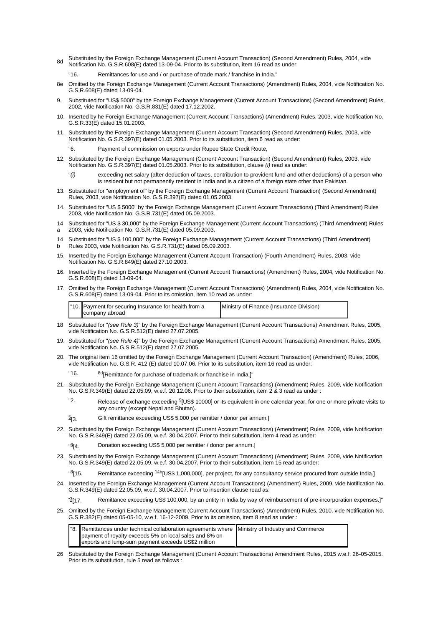- 8d Substituted by the Foreign Exchange Management (Current Account Transaction) (Second Amendment) Rules, 2004, vide Notification No. G.S.R.608(E) dated 13-09-04. Prior to its substitution, item 16 read as under:
	- Remittances for use and / or purchase of trade mark / franchise in India."
- 8e Omitted by the Foreign Exchange Management (Current Account Transactions) (Amendment) Rules, 2004, vide Notification No. G.S.R.608(E) dated 13-09-04.
- 9. Substituted for "US\$ 5000" by the Foreign Exchange Management (Current Account Transactions) (Second Amendment) Rules, 2002, vide Notification No. G.S.R.831(E) dated 17.12.2002.
- 10. Inserted by he Foreign Exchange Management (Current Account Transactions) (Amendment) Rules, 2003, vide Notification No. G.S.R.33(E) dated 15.01.2003.
- 11. Substituted by the Foreign Exchange Management (Current Account Transaction) (Second Amendment) Rules, 2003, vide Notification No. G.S.R.397(E) dated 01.05.2003. Prior to its substitution, item 6 read as under:
	- Payment of commission on exports under Rupee State Credit Route,
- 12. Substituted by the Foreign Exchange Management (Current Account Transaction) (Second Amendment) Rules, 2003, vide Notification No. G.S.R.397(E) dated 01.05.2003. Prior to its substitution, clause *(i)* read as under:
	- exceeding net salary (after deduction of taxes, contribution to provident fund and other deductions) of a person who is resident but not permanently resident in India and is a citizen of a foreign state other than Pakistan.
- 13. Substituted for "employment of" by the Foreign Exchange Management (Current Account Transaction) (Second Amendment) Rules, 2003, vide Notification No. G.S.R.397(E) dated 01.05.2003.
- 14. Substituted for "US \$ 5000" by the Foreign Exchange Management (Current Account Transactions) (Third Amendment) Rules 2003, vide Notification No. G.S.R.731(E) dated 05.09.2003.
- 14 Substituted for "US \$ 30,000" by the Foreign Exchange Management (Current Account Transactions) (Third Amendment) Rules
- a 2003, vide Notification No. G.S.R.731(E) dated 05.09.2003.
- 14 Substituted for "US \$ 100,000" by the Foreign Exchange Management (Current Account Transactions) (Third Amendment) b Rules 2003, vide Notification No. G.S.R.731(E) dated 05.09.2003.
- 15. Inserted by the Foreign Exchange Management (Current Account Transaction) (Fourth Amendment) Rules, 2003, vide Notification No. G.S.R.849(E) dated 27.10.2003.
- 16. Inserted by the Foreign Exchange Management (Current Account Transactions) (Amendment) Rules, 2004, vide Notification No. G.S.R.608(E) dated 13-09-04.
- 17. Omitted by the Foreign Exchange Management (Current Account Transactions) (Amendment) Rules, 2004, vide Notification No. G.S.R.608(E) dated 13-09-04. Prior to its omission, item 10 read as under:

| "10. Payment for securing Insurance for health from a | Ministry of Finance (Insurance Division) |
|-------------------------------------------------------|------------------------------------------|
| company abroad                                        |                                          |

- 18 Substituted for "*(see Rule 3)*" by the Foreign Exchange Management (Current Account Transactions) Amendment Rules, 2005, vide Notification No. G.S.R.512(E) dated 27.07.2005.
- 19. Substituted for "*(see Rule 4)*" by the Foreign Exchange Management (Current Account Transactions) Amendment Rules, 2005, vide Notification No. G.S.R.512(E) dated 27.07.2005.
- 20. The original item 16 omitted by the Foreign Exchange Management (Current Account Transaction) (Amendment) Rules, 2006, vide Notification No. G.S.R. 412 (E) dated 10.07.06. Prior to its substitution, item 16 read as under:
	- "16. <sup>[8d](http://172.31.13.51/kmt/GetDocument.asp?PageRef=ecm/gsr38103-05-2000_42626-05-2015.htm#8d)</sup>[Remittance for purchase of trademark or franchise in India.]"
- 21. Substituted by the Foreign Exchange Management (Current Account Transactions) (Amendment) Rules, 2009, vide Notification No. G.S.R.349(E) dated 22.05.09, w.e.f. 20.12.06. Prior to their substitution, item 2 & 3 read as under :
	- "2. Release of exchange exceeding  $910\$  $910\$ \$ 10000] or its equivalent in one calendar year, for one or more private visits to any country (except Nepal and Bhutan).
	- $\frac{5}{3}$  $\frac{5}{3}$  $\frac{5}{3}$ [3. Gift remittance exceeding US\$ 5,000 per remitter / donor per annum.]
- 22. Substituted by the Foreign Exchange Management (Current Account Transactions) (Amendment) Rules, 2009, vide Notification No. G.S.R.349(E) dated 22.05.09, w.e.f. 30.04.2007. Prior to their substitution, item 4 read as under:
	- [6](http://172.31.13.51/kmt/GetDocument.asp?PageRef=ecm/gsr38103-05-2000_42626-05-2015.htm#6) [4. Donation exceeding US\$ 5,000 per remitter / donor per annum.]

"

- 23. Substituted by the Foreign Exchange Management (Current Account Transactions) (Amendment) Rules, 2009, vide Notification No. G.S.R.349(E) dated 22.05.09, w.e.f. 30.04.2007. Prior to their substitution, item 15 read as under:
	- " [8](http://172.31.13.51/kmt/GetDocument.asp?PageRef=ecm/gsr38103-05-2000_42626-05-2015.htm#8) Remittance exceeding  $\frac{14b}{15}$  $\frac{14b}{15}$  $\frac{14b}{15}$ [US\$ 1,000,000], per project, for any consultancy service procured from outside India.]
- 24. Inserted by the Foreign Exchange Management (Current Account Transactions) (Amendment) Rules, 2009, vide Notification No. G.S.R.349(E) dated 22.05.09, w.e.f. 30.04.2007. Prior to insertion clause read as:

 $^{\circ}3$ [17. Remittance exceeding US\$ 100,000, by an entity in India by way of reimbursement of pre-incorporation expenses.]"

25. Omitted by the Foreign Exchange Management (Current Account Transactions) (Amendment) Rules, 2010, vide Notification No. G.S.R.382(E) dated 05-05-10, w.e.f. 16-12-2009. Prior to its omission, item 8 read as under :

|  | 8. Remittances under technical collaboration agreements where Ministry of Industry and Commerce |  |
|--|-------------------------------------------------------------------------------------------------|--|
|  | payment of royalty exceeds 5% on local sales and 8% on                                          |  |
|  | exports and lump-sum payment exceeds US\$2 million                                              |  |

26 Substituted by the Foreign Exchange Management (Current Account Transactions) Amendment Rules, 2015 w.e.f. 26-05-2015. Prior to its substitution, rule 5 read as follows :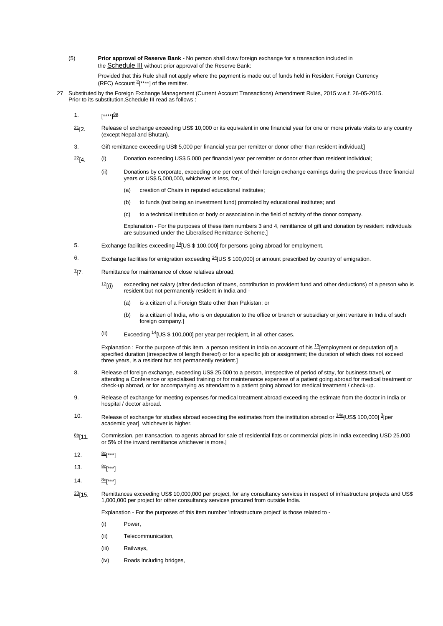(5) **Prior approval of Reserve Bank -** No person shall draw foreign exchange for a transaction included in the **[Schedule III](http://172.31.13.51/kmt/GetDocument.asp?PageRef=ecm/gsr38103-05-2000_42626-05-2015.htm#sch3)** without prior approval of the Reserve Bank:

Provided that this Rule shall not apply where the payment is made out of funds held in Resident Foreign Currency (RFC) Account  $2$ [\*\*\*\*] of the remitter.

- 27 Substituted by the Foreign Exchange Management (Current Account Transactions) Amendment Rules, 2015 w.e.f. 26-05-2015. Prior to its substitution,Schedule III read as follows :
	- 1.  $[***]$ <sup>[8a](http://172.31.13.51/kmt/GetDocument.asp?PageRef=ecm/gsr38103-05-2000_42626-05-2015.htm#8a)</sup>
	- $21/2$  $21/2$ . Release of exchange exceeding US\$ 10,000 or its equivalent in one financial year for one or more private visits to any country (except Nepal and Bhutan).
	- 3. Gift remittance exceeding US\$ 5,000 per financial year per remitter or donor other than resident individual;]
	- $22(4.$  $22(4.$  (i) Donation exceeding US\$ 5,000 per financial year per remitter or donor other than resident individual;
		- (ii) Donations by corporate, exceeding one per cent of their foreign exchange earnings during the previous three financial years or US\$ 5,000,000, whichever is less, for,-
			- (a) creation of Chairs in reputed educational institutes;
			- (b) to funds (not being an investment fund) promoted by educational institutes; and
			- (c) to a technical institution or body or association in the field of activity of the donor company.

Explanation - For the purposes of these item numbers 3 and 4, remittance of gift and donation by resident individuals are subsumed under the Liberalised Remittance Scheme.]

- 5. Exchange facilities exceeding <sup>[14](http://172.31.13.51/kmt/GetDocument.asp?PageRef=ecm/gsr38103-05-2000_42626-05-2015.htm#14)</sup>[US \$ 100,000] for persons going abroad for employment.
- 6. Exchange facilities for emigration exceeding  $14$  US \$ 100,000 or amount prescribed by country of emigration.
- $Z_{17}$  $Z_{17}$  $Z_{17}$ Remittance for maintenance of close relatives abroad,
	- $12$ [(i) exceeding net salary (after deduction of taxes, contribution to provident fund and other deductions) of a person who is resident but not permanently resident in India and -
		- (a) is a citizen of a Foreign State other than Pakistan; or
		- (b) is a citizen of India, who is on deputation to the office or branch or subsidiary or joint venture in India of such foreign company.]
	- (ii) Exceeding  $14$ [US \$ 100,000] per year per recipient, in all other cases.

Explanation : For the purpose of this item, a person resident in India on account of his  $\frac{13}{2}$  $\frac{13}{2}$  $\frac{13}{2}$ [employment or deputation of] a specified duration (irrespective of length thereof) or for a specific job or assignment; the duration of which does not exceed three years, is a resident but not permanently resident.]

- 8. Release of foreign exchange, exceeding US\$ 25,000 to a person, irrespective of period of stay, for business travel, or attending a Conference or specialised training or for maintenance expenses of a patient going abroad for medical treatment or check-up abroad, or for accompanying as attendant to a patient going abroad for medical treatment / check-up.
- 9. Release of exchange for meeting expenses for medical treatment abroad exceeding the estimate from the doctor in India or hospital / doctor abroad.
- 10. Release of exchange for studies abroad exceeding the estimates from the institution abroad or  $^{14a}$  $^{14a}$  $^{14a}$ [US\$ 100,000]  $^{3}$  $^{3}$  $^{3}$ [per academic year], whichever is higher.
- [8b](http://172.31.13.51/kmt/GetDocument.asp?PageRef=ecm/gsr38103-05-2000_42626-05-2015.htm#8b)<sub>[11.</sub> Commission, per transaction, to agents abroad for sale of residential flats or commercial plots in India exceeding USD 25,000 or 5% of the inward remittance whichever is more.]
- 12.  $rac{8c}{5}$  $rac{8c}{5}$  $rac{8c}{5}$ [\*\*\*]
- 13.  $8C[x**]$
- 14. [8c](http://172.31.13.51/kmt/GetDocument.asp?PageRef=ecm/gsr38103-05-2000_42626-05-2015.htm#8c)<sup>\*\*\*</sup>]
- $23$ <sub>15.</sub> Remittances exceeding US\$ 10,000,000 per project, for any consultancy services in respect of infrastructure projects and US\$ 1,000,000 per project for other consultancy services procured from outside India.

Explanation - For the purposes of this item number 'infrastructure project' is those related to -

- (i) Power,
- (ii) Telecommunication,
- (iii) Railways,
- (iv) Roads including bridges,